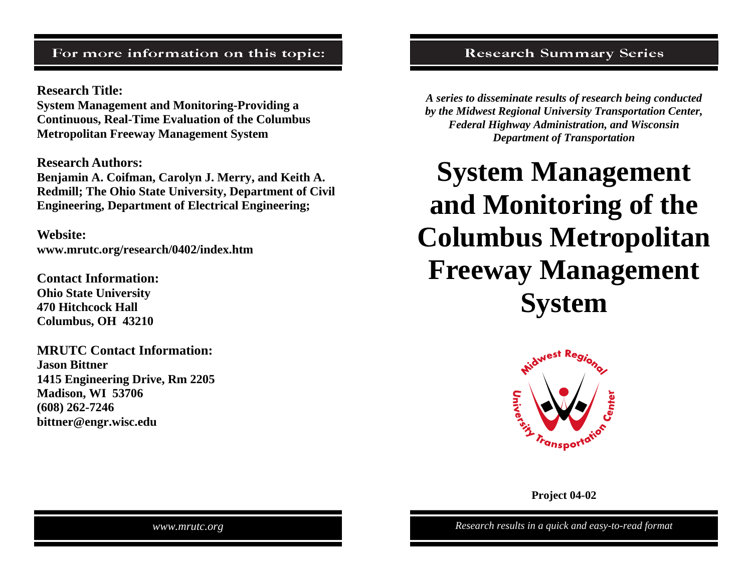# For more information on this topic:

**Research Title:** 

**System Management and Monitoring-Providing a Continuous, Real-Time Evaluation of the Columbus Metropolitan Freeway Management System** 

**Research Authors:** 

**Benjamin A. Coifman, Carolyn J. Merry, and Keith A. Redmill; The Ohio State University, Department of Civil Engineering, Department of Electrical Engineering;** 

**Website: www.mrutc.org/research/0402/index.htm** 

**Contact Information: Ohio State University 470 Hitchcock Hall Columbus, OH 43210** 

**MRUTC Contact Information: Jason Bittner 1415 Engineering Drive, Rm 2205 Madison, WI 53706 (608) 262-7246 bittner@engr.wisc.edu** 

# **Research Summary Series**

*A series to disseminate results of research being conducted by the Midwest Regional University Transportation Center, Federal Highway Administration, and Wisconsin Department of Transportation* 

**System Management and Monitoring of the Columbus Metropolitan Freeway Management System** 



**Project 04-02** 

*www.mrutc.org Research results in a quick and easy-to-read format*